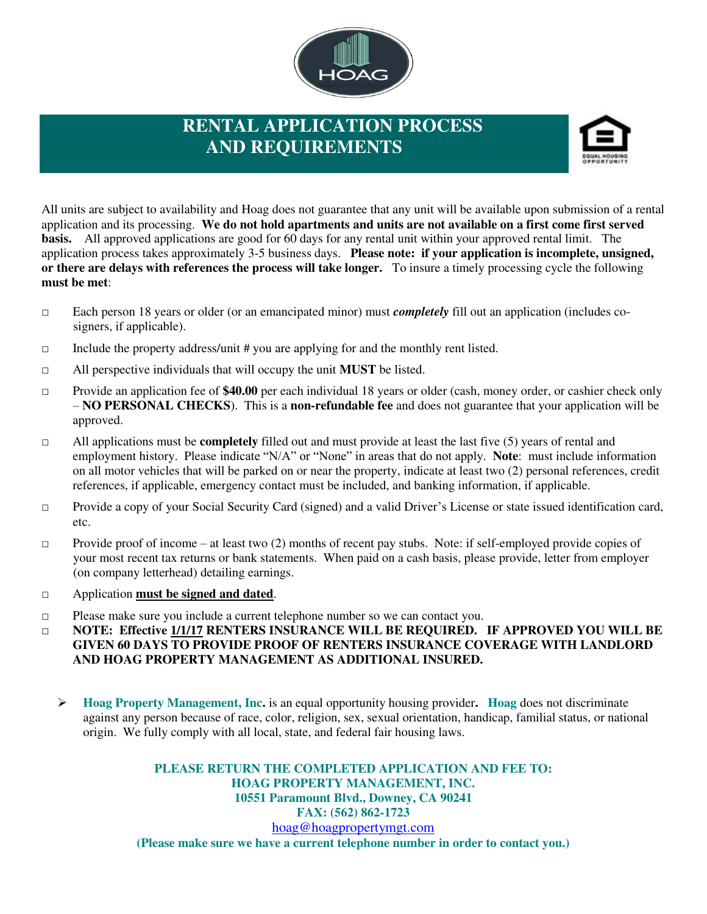

## **RENTAL APPLICATION PROCESS AND REQUIREMENTS**



All units are subject to availability and Hoag does not guarantee that any unit will be available upon submission of a rental application and its processing. **We do not hold apartments and units are not available on a first come first served basis.** All approved applications are good for 60 days for any rental unit within your approved rental limit. The application process takes approximately 3-5 business days. **Please note: if your application is incomplete, unsigned, or there are delays with references the process will take longer.** To insure a timely processing cycle the following **must be met**:

- □ Each person 18 years or older (or an emancipated minor) must *completely* fill out an application (includes cosigners, if applicable).
- $\Box$  Include the property address/unit # you are applying for and the monthly rent listed.
- □ All perspective individuals that will occupy the unit **MUST** be listed.
- □ Provide an application fee of **\$40.00** per each individual 18 years or older (cash, money order, or cashier check only – **NO PERSONAL CHECKS**). This is a **non-refundable fee** and does not guarantee that your application will be approved.
- □ All applications must be **completely** filled out and must provide at least the last five (5) years of rental and employment history. Please indicate "N/A" or "None" in areas that do not apply. **Note**: must include information on all motor vehicles that will be parked on or near the property, indicate at least two (2) personal references, credit references, if applicable, emergency contact must be included, and banking information, if applicable.
- □ Provide a copy of your Social Security Card (signed) and a valid Driver's License or state issued identification card, etc.
- $\Box$  Provide proof of income at least two (2) months of recent pay stubs. Note: if self-employed provide copies of your most recent tax returns or bank statements. When paid on a cash basis, please provide, letter from employer (on company letterhead) detailing earnings.
- □ Application **must be signed and dated**.
- □ Please make sure you include a current telephone number so we can contact you.
- □ **NOTE: Effective 1/1/17 RENTERS INSURANCE WILL BE REQUIRED. IF APPROVED YOU WILL BE GIVEN 60 DAYS TO PROVIDE PROOF OF RENTERS INSURANCE COVERAGE WITH LANDLORD AND HOAG PROPERTY MANAGEMENT AS ADDITIONAL INSURED.** 
	- **Hoag Property Management, Inc.** is an equal opportunity housing provider**. Hoag** does not discriminate against any person because of race, color, religion, sex, sexual orientation, handicap, familial status, or national origin. We fully comply with all local, state, and federal fair housing laws.

**PLEASE RETURN THE COMPLETED APPLICATION AND FEE TO: HOAG PROPERTY MANAGEMENT, INC. 10551 Paramount Blvd., Downey, CA 90241 FAX: (562) 862-1723**  [hoag@hoagpropertymgt.com](mailto:hoag@hoagpropertymgt.com) **(Please make sure we have a current telephone number in order to contact you.)**